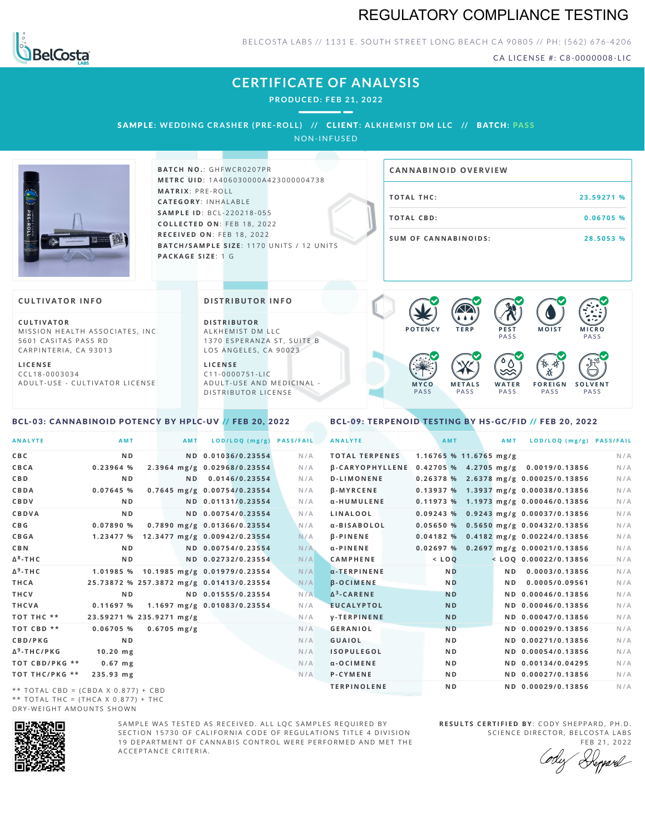## REGULATORY COMPLIANCE TESTING



**L I C E N S E**

### BELCOSTA LABS // 1131 E. SOUTH STREET LONG BEACH CA 90805 // PH: (562) 676-4206

CA LICENSE #: C8-0000008-LIC

#### **CERTIFICATE OF ANALYSIS PRODUCED: F EB 21, 2022** SAMPLE: WEDDING CRASHER (PRE-ROLL) // CLIENT: ALKHEMIST DM LLC // BATCH: PASS NON-INFUSED **BATCH NO.: GHFWCR0207PR CA N N ABI N OID OVERVI EW M E T R C U ID** :1 A 4 0 6 0 3 0 0 0 0 A 4 2 3 0 0 0 0 0 4 7 3 8 **M AT R I X** :P R E - R O L L **T O TAL T H C :2 3 . 5 9 2 7 1 % CAT E G O R Y** : I N H A L A B L E **SA M P L E I D** :B C L - 2 2 0 2 1 8 - 0 5 5 **T O TAL CB D :0 . 0 6 7 0 5 % C O L L E C T E D O N** :F E B 1 8 , 2 0 2 2 **R E C E I V E D O N** : F E B 1 8 , 2 0 2 2 **S U M O F CA N N ABI N O I D S : 2 8 . 5 0 5 3 % BATCH/SAMPLE SIZE:** 1170 UNITS / 12 UNITS **PAC KA G E S I Z E** : 1 G **CULTIVATOR I N FO DI STRIBUTOR I N FO**  $\bullet$  60 60 60 60 **C U L T I VAT O R D I S T R IB U T O R M O IS T M IC R O** MISSION HEALTH ASSOCIATES, INC. ALKHEMIST DM LLC **P O T E N C Y T E R P P E S T PASS** PA S S 5601 CASITAS PASS RD 1370 ESPERANZA ST, SUITE B CARPINTERIA, CA 93013 LOS ANGELES, CA 90023  $\bullet$  0.0 0.0 0.0 **L I C E N S E** 祅 C C L 1 8 - 0 0 0 3 0 3 4 C 1 1 - 0 0 0 0 7 5 1 - L I C A D U L T - U S E - C U L T I V A T O R L I C E N S E A D U L T - U S E A N D M E D I C I N A L -**W A T E R F O R E I G N S O L V E N T M Y C O M E T A L S** D ISTRIBUTOR LICENSE PA S S PA S S PA S S PA S S PA S S BCL-03: CANNABINOID POTENCY BY HPLC-UV // FEB 20, 2022

### <span id="page-0-1"></span>BCL-09: TERPENOID TESTING BY HS-GC/FID // FEB 20, 2022

<span id="page-0-0"></span>

| <b>ANALYTE</b>                      | AMT                                      | <b>AMT</b>     | LOD/LOQ (mg/g)                         | <b>PASS/FAIL</b> | <b>ANALYTE</b>                                       | AMT            |                          | <b>AMT</b> | LOD/LOQ (mg/g) PASS/FAIL                |     |
|-------------------------------------|------------------------------------------|----------------|----------------------------------------|------------------|------------------------------------------------------|----------------|--------------------------|------------|-----------------------------------------|-----|
| <b>CBC</b>                          | N <sub>D</sub>                           |                | ND 0.01036/0.23554                     | N/A              | <b>TOTAL TERPENES</b>                                |                | $1.16765$ % 11.6765 mg/g |            |                                         | N/A |
| CBCA                                | 0.23964%                                 |                | 2.3964 mg/g 0.02968/0.23554            | N/A              | B-CARYOPHYLLENE 0.42705 % 4.2705 mg/g 0.0019/0.13856 |                |                          |            |                                         | N/A |
| <b>CBD</b>                          | N <sub>D</sub>                           | N <sub>D</sub> | 0.0146/0.23554                         | N/A              | <b>D-LIMONENE</b>                                    |                |                          |            | 0.26378 % 2.6378 mg/g 0.00025/0.13856   | N/A |
| CBDA                                | 0.07645 %                                |                | 0.7645 mg/g 0.00754/0.23554            | N/A              | <b>B-MYRCENE</b>                                     |                |                          |            | 0.13937 % 1.3937 mg/g 0.00038/0.13856   | N/A |
| <b>CBDV</b>                         | ND.                                      |                | ND 0.01131/0.23554                     | N/A              | α-HUMULENE                                           |                |                          |            | $0.11973$ % 1.1973 mg/g 0.00046/0.13856 | N/A |
| <b>CBDVA</b>                        | N <sub>D</sub>                           |                | ND 0.00754/0.23554                     | N/A              | <b>LINALOOL</b>                                      |                |                          |            | 0.09243 % 0.9243 mg/g 0.00037/0.13856   | N/A |
| C B G                               | 0.07890 %                                |                | 0.7890 mg/g 0.01366/0.23554            | N/A              | a-BISABOLOL                                          |                |                          |            | $0.05650\%$ 0.5650 mg/g 0.00432/0.13856 | N/A |
| <b>CBGA</b>                         |                                          |                | 1.23477 % 12.3477 mg/g 0.00942/0.23554 | N/A              | $\beta$ -PINENE                                      |                |                          |            | $0.04182\%$ 0.4182 mg/g 0.00224/0.13856 | N/A |
| <b>CBN</b>                          | N <sub>D</sub>                           |                | ND 0.00754/0.23554                     | N/A              | $\alpha$ -PINENE                                     |                |                          |            | $0.02697%$ 0.2697 mg/g 0.00021/0.13856  | N/A |
| $\Delta^8$ -THC                     | N <sub>D</sub>                           |                | ND 0.02732/0.23554                     | N/A              | <b>CAMPHENE</b>                                      | $<$ LOQ        |                          |            | $<$ LOQ 0.00022/0.13856                 | N/A |
| $\Delta^9$ -THC                     |                                          |                | 1.01985 % 10.1985 mg/g 0.01979/0.23554 | N/A              | $\alpha$ -TERPINENE                                  | N <sub>D</sub> |                          | N D        | 0.0003/0.13856                          | N/A |
| <b>THCA</b>                         | 25.73872 % 257.3872 mg/g 0.01413/0.23554 |                |                                        | N/A              | <b>B-OCIMENE</b>                                     | N <sub>D</sub> |                          | N D        | 0.0005/0.09561                          | N/A |
| THCV                                | N <sub>D</sub>                           |                | ND 0.01555/0.23554                     | N/A              | $\Delta^3$ -CARENE                                   | <b>ND</b>      |                          |            | ND 0.00046/0.13856                      | N/A |
| <b>THCVA</b>                        | 0.11697%                                 |                | 1.1697 mg/g 0.01083/0.23554            | N/A              | <b>EUCALYPTOL</b>                                    | <b>ND</b>      |                          |            | ND 0.00046/0.13856                      | N/A |
| TOT THC **                          | 23.59271 % 235.9271 mg/g                 |                |                                        | N/A              | <b>V-TERPINENE</b>                                   | <b>ND</b>      |                          |            | ND 0.00047/0.13856                      | N/A |
| TOT CBD <sup>**</sup>               | $0.06705$ %                              | $0.6705$ mg/g  |                                        | N/A              | <b>GERANIOL</b>                                      | <b>ND</b>      |                          |            | ND 0.00029/0.13856                      | N/A |
| CBD/PKG                             | N <sub>D</sub>                           |                |                                        | N/A              | <b>GUAIOL</b>                                        | N <sub>D</sub> |                          |            | ND 0.00271/0.13856                      | N/A |
| $\Delta^9$ -THC/PKG                 | $10.20$ mg                               |                |                                        | N/A              | <b>ISOPULEGOL</b>                                    | N <sub>D</sub> |                          |            | ND 0.00054/0.13856                      | N/A |
| TOT CBD/PKG **                      | $0.67$ mg                                |                |                                        | N/A              | $\alpha$ -OCIMENE                                    | N <sub>D</sub> |                          |            | ND 0.00134/0.04295                      | N/A |
| TOT THC/PKG **                      | 235.93 mg                                |                |                                        | N/A              | P-CYMENE                                             | N <sub>D</sub> |                          |            | ND 0.00027/0.13856                      | N/A |
| ** TOTAL CRD = (CRDA X 0 877) + CRD |                                          |                |                                        |                  | <b>TERPINOLENE</b>                                   | N <sub>D</sub> |                          |            | ND 0.00029/0.13856                      | N/A |

\* \* T O T A L C B D = ( C B D A X 0 . 8 7 7 ) + C B D \*\* TOTAL THC =  $(THCA X 0.877) + THC$ DRY-WEIGHT AMOUNTS SHOWN



SAMPLE WAS TESTED AS RECEIVED. ALL LOC SAMPLES REQUIRED BY SECTION 15730 OF CALIFORNIA CODE OF REGULATIONS TITLE 4 DIVISION 19 DEPARTMENT OF CANNABIS CONTROL WERE PERFORMED AND MET THE A C C E P T A N C E C R I T E R I A .

**R E S U L T S C E R T I F I E D BY** : C O D Y S H E P P A R D ,P H .D . SCIENCE DIRECTOR, BELCOSTA LABS

FEB 21, 2022 Depard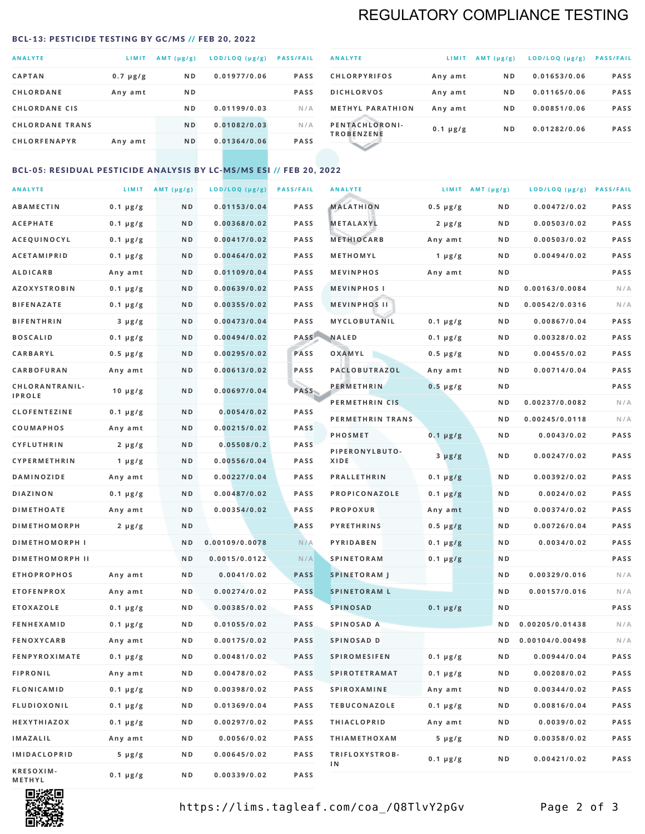## REGULATORY COMPLIANCE TESTING

#### <span id="page-1-0"></span>BCL-13: PESTICIDE TESTING BY GC/MS // FEB 20, 2022

| <b>ANALYTE</b>         | LIMIT         | $AMT$ ( $\mu g/g$ ) | LOD/LOQ (µg/g) | <b>PASS/FAIL</b> |
|------------------------|---------------|---------------------|----------------|------------------|
| <b>CAPTAN</b>          | $0.7 \mu g/g$ | N <sub>D</sub>      | 0.01977/0.06   | <b>PASS</b>      |
| <b>CHLORDANE</b>       | Any amt       | N <sub>D</sub>      |                | <b>PASS</b>      |
| <b>CHLORDANE CIS</b>   |               | N <sub>D</sub>      | 0.01199/0.03   | N/A              |
| <b>CHLORDANE TRANS</b> |               | N <sub>D</sub>      | 0.01082/0.03   | N/A              |
| <b>CHLORFENAPYR</b>    | Any amt       | N <sub>D</sub>      | 0.01364/0.06   | <b>PASS</b>      |

| <b>ANALYTE</b>                      | LIMIT         | $AMT (\mu g/g)$ | LOD/LOQ (µg/g) | <b>PASS/FAIL</b> |
|-------------------------------------|---------------|-----------------|----------------|------------------|
| <b>CHLORPYRIFOS</b>                 | Any amt       | N <sub>D</sub>  | 0.01653/0.06   | <b>PASS</b>      |
| <b>DICHLORVOS</b>                   | Any amt       | N <sub>D</sub>  | 0.01165/0.06   | <b>PASS</b>      |
| <b>METHYL PARATHION</b>             | Any amt       | N <sub>D</sub>  | 0.00851/0.06   | <b>PASS</b>      |
| PENTACHLORONI-<br><b>TROBENZENE</b> | $0.1 \mu g/g$ | N <sub>D</sub>  | 0.01282/0.06   | <b>PASS</b>      |
|                                     |               |                 |                |                  |

### BCL-05: RESIDUAL PESTICIDE ANALYSIS BY LC-MS/MS ESI // FEB 20, 2022

| <b>ANALYTE</b>         |                  | LIMIT $AMT (\mu g/g)$ | LOD/LOQ (µg/g) | <b>PASS/FAIL</b> | <b>ANALYTE</b>       |                  | LIMIT AMT $(\mu g/g)$ | LOD/LOQ (µg/g) PASS/FAIL |             |
|------------------------|------------------|-----------------------|----------------|------------------|----------------------|------------------|-----------------------|--------------------------|-------------|
| <b>ABAMECTIN</b>       | $0.1 \mu g/g$    | N D                   | 0.01153/0.04   | PASS             | <b>MALATHION</b>     | $0.5 \mu g/g$    | N D                   | 0.00472/0.02             | <b>PASS</b> |
| <b>ACEPHATE</b>        | $0.1 \mu g/g$    | N D                   | 0.00368/0.02   | <b>PASS</b>      | <b>METALAXYL</b>     | $2 \mu g/g$      | N D                   | 0.00503/0.02             | PASS        |
| ACEQUINOCYL            | $0.1 \mu g/g$    | N D                   | 0.00417/0.02   | <b>PASS</b>      | <b>METHIOCARB</b>    | Any amt          | N D                   | 0.00503/0.02             | PASS        |
| <b>ACETAMIPRID</b>     | $0.1 \mu g/g$    | N D                   | 0.00464/0.02   | <b>PASS</b>      | METHOMYL             | 1 $\mu$ g/g      | N D                   | 0.00494/0.02             | PASS        |
| <b>ALDICARB</b>        | Any amt          | N D                   | 0.01109/0.04   | <b>PASS</b>      | <b>MEVINPHOS</b>     | Any amt          | N D                   |                          | PASS        |
| <b>AZOXYSTROBIN</b>    | $0.1 \mu g/g$    | N D                   | 0.00639/0.02   | <b>PASS</b>      | <b>MEVINPHOSI</b>    |                  | N D                   | 0.00163/0.0084           | N/A         |
| <b>BIFENAZATE</b>      | $0.1 \, \mu g/g$ | N D                   | 0.00355/0.02   | <b>PASS</b>      | <b>MEVINPHOS II</b>  |                  | N D                   | 0.00542/0.0316           | N/A         |
| <b>BIFENTHRIN</b>      | $3 \mu g/g$      | N D                   | 0.00473/0.04   | PASS             | MYCLOBUTANIL         | $0.1 \mu g/g$    | N D                   | 0.00867/0.04             | PASS        |
| <b>BOSCALID</b>        | $0.1 \mu g/g$    | N D                   | 0.00494/0.02   | PASS             | <b>NALED</b>         | $0.1 \mu g/g$    | N D                   | 0.00328/0.02             | PASS        |
| CARBARYL               | $0.5 \mu g/g$    | N D                   | 0.00295/0.02   | PASS             | OXAMYL               | $0.5 \, \mu g/g$ | N D                   | 0.00455/0.02             | PASS        |
| CARBOFURAN             | Any amt          | N D                   | 0.00613/0.02   | PASS             | PACLOBUTRAZOL        | Any amt          | N D                   | 0.00714/0.04             | PASS        |
| CHLORANTRANIL-         | $10 \mu g/g$     | N D                   | 0.00697/0.04   | <b>PASS</b>      | <b>PERMETHRIN</b>    | $0.5 \mu g/g$    | N D                   |                          | PASS        |
| <b>IPROLE</b>          |                  |                       |                |                  | PERMETHRIN CIS       |                  | N D                   | 0.00237/0.0082           | N/A         |
| <b>CLOFENTEZINE</b>    | $0.1 \mu g/g$    | N D                   | 0.0054/0.02    | <b>PASS</b>      | PERMETHRIN TRANS     |                  | N D                   | 0.00245/0.0118           | N/A         |
| <b>COUMAPHOS</b>       | Any amt          | N D                   | 0.00215/0.02   | <b>PASS</b>      | <b>PHOSMET</b>       | $0.1 \mu g/g$    | N D                   | 0.0043/0.02              | PASS        |
| CYFLUTHRIN             | $2 \mu g/g$      | N D                   | 0.05508/0.2    | <b>PASS</b>      | PIPERONYLBUTO-       | $3 \mu g/g$      | N D                   | 0.00247/0.02             | PASS        |
| CYPERMETHRIN           | $1 \mu g/g$      | ND                    | 0.00556/0.04   | <b>PASS</b>      | XIDE                 |                  |                       |                          |             |
| <b>DAMINOZIDE</b>      | Any amt          | N D                   | 0.00227/0.04   | PASS             | <b>PRALLETHRIN</b>   | $0.1 \mu g/g$    | N D                   | 0.00392/0.02             | PASS        |
| <b>DIAZINON</b>        | $0.1 \mu g/g$    | N D                   | 0.00487/0.02   | <b>PASS</b>      | PROPICONAZOLE        | $0.1 \mu g/g$    | N D                   | 0.0024/0.02              | PASS        |
| <b>DIMETHOATE</b>      | Any amt          | N D                   | 0.00354/0.02   | <b>PASS</b>      | <b>PROPOXUR</b>      | Any amt          | N D                   | 0.00374/0.02             | PASS        |
| <b>DIMETHOMORPH</b>    | $2 \mu g/g$      | N D                   |                | <b>PASS</b>      | <b>PYRETHRINS</b>    | $0.5 \mu g/g$    | N D                   | 0.00726/0.04             | PASS        |
| <b>DIMETHOMORPH I</b>  |                  | N D                   | 0.00109/0.0078 | N/A              | PYRIDABEN            | $0.1 \mu g/g$    | N D                   | 0.0034/0.02              | PASS        |
| <b>DIMETHOMORPH II</b> |                  | N <sub>D</sub>        | 0.0015/0.0122  | N/A              | <b>SPINETORAM</b>    | $0.1 \mu g/g$    | N D                   |                          | PASS        |
| <b>ETHOPROPHOS</b>     | Any amt          | N D                   | 0.0041/0.02    | <b>PASS</b>      | <b>SPINETORAM J</b>  |                  | ND.                   | 0.00329/0.016            | N/A         |
| <b>ETOFENPROX</b>      | Any amt          | N D                   | 0.00274/0.02   | <b>PASS</b>      | <b>SPINETORAM L</b>  |                  | N D                   | 0.00157/0.016            | N/A         |
| <b>ETOXAZOLE</b>       | $0.1 \mu g/g$    | N D                   | 0.00385/0.02   | <b>PASS</b>      | <b>SPINOSAD</b>      | $0.1 \mu g/g$    | N D                   |                          | PASS        |
| <b>FENHEXAMID</b>      | $0.1 \mu g/g$    | N D                   | 0.01055/0.02   | <b>PASS</b>      | SPINOSAD A           |                  | N D                   | 0.00205/0.01438          | N/A         |
| <b>FENOXYCARB</b>      | Any amt          | N D                   | 0.00175/0.02   | <b>PASS</b>      | SPINOSAD D           |                  | N D                   | 0.00104/0.00498          | N/A         |
| <b>FENPYROXIMATE</b>   | $0.1 \mu g/g$    | N D                   | 0.00481/0.02   | PASS             | SPIROMESIFEN         | $0.1 \mu g/g$    | N D                   | 0.00944/0.04             | PASS        |
| <b>FIPRONIL</b>        | Any amt          | N D                   | 0.00478/0.02   | <b>PASS</b>      | <b>SPIROTETRAMAT</b> | $0.1 \mu g/g$    | N D                   | 0.00208/0.02             | PASS        |
| <b>FLONICAMID</b>      | $0.1 \mu g/g$    | N D                   | 0.00398/0.02   | PASS             | <b>SPIROXAMINE</b>   | Any amt          | N D                   | 0.00344/0.02             | PASS        |
| <b>FLUDIOXONIL</b>     | $0.1 \mu g/g$    | N D                   | 0.01369/0.04   | PASS             | <b>TEBUCONAZOLE</b>  | $0.1 \mu g/g$    | N D                   | 0.00816/0.04             | PASS        |
| HEXYTHIAZOX            | $0.1 \mu g/g$    | N D                   | 0.00297/0.02   | PASS             | <b>THIACLOPRID</b>   | Any amt          | N D                   | 0.0039/0.02              | PASS        |
| <b>IMAZALIL</b>        | Any amt          | N D                   | 0.0056/0.02    | PASS             | <b>THIAMETHOXAM</b>  | $5 \mu g/g$      | N D                   | 0.00358/0.02             | PASS        |
| <b>IMIDACLOPRID</b>    | $5 \mu g/g$      | N D                   | 0.00645/0.02   | <b>PASS</b>      | TRIFLOXYSTROB-<br>1N | $0.1 \mu g/g$    | N D                   | 0.00421/0.02             | PASS        |
| KRESOXIM-<br>METHYL    | 0.1 µg/g         | N D                   | 0.00339/0.02   | PASS             |                      |                  |                       |                          |             |